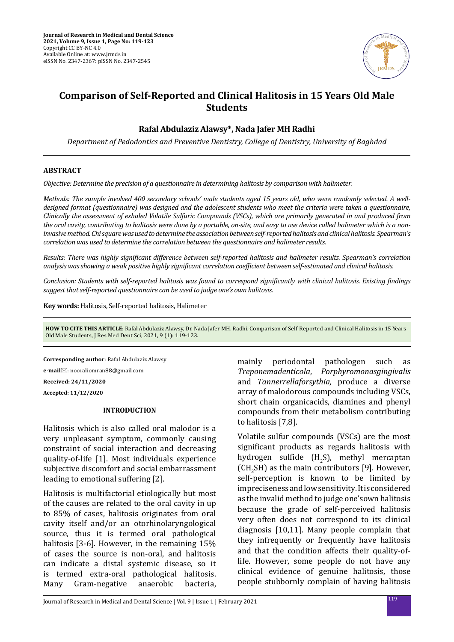

# **Comparison of Self-Reported and Clinical Halitosis in 15 Years Old Male Students**

# **Rafal Abdulaziz Alawsy\*, Nada Jafer MH Radhi**

*Department of Pedodontics and Preventive Dentistry, College of Dentistry, University of Baghdad*

## **ABSTRACT**

*Objective: Determine the precision of a questionnaire in determining halitosis by comparison with halimeter.*

*Methods: The sample involved 400 secondary schools' male students aged 15 years old, who were randomly selected. A welldesigned format (questionnaire) was designed and the adolescent students who meet the criteria were taken a questionnaire, Clinically the assessment of exhaled Volatile Sulfuric Compounds (VSCs), which are primarily generated in and produced from the oral cavity, contributing to halitosis were done by a portable, on-site, and easy to use device called halimeter which is a noninvasive method. Chi square was used to determine the association between self-reported halitosis and clinical halitosis. Spearman's correlation was used to determine the correlation between the questionnaire and halimeter results.*

*Results: There was highly significant difference between self-reported halitosis and halimeter results. Spearman's correlation analysis was showing a weak positive highly significant correlation coefficient between self-estimated and clinical halitosis.*

*Conclusion: Students with self-reported halitosis was found to correspond significantly with clinical halitosis. Existing findings suggest that self-reported questionnaire can be used to judge one's own halitosis.*

**Key words:** Halitosis, Self-reported halitosis, Halimeter

**HOW TO CITE THIS ARTICLE**: Rafal Abdulaziz Alawsy, Dr. Nada Jafer MH. Radhi, Comparison of Self-Reported and Clinical Halitosis in 15 Years Old Male Students, J Res Med Dent Sci, 2021, 9 (1): 119-123.

**Corresponding author**: Rafal Abdulaziz Alawsy **e-mail**: nooraliomran88@gmail.com **Received: 24/11/2020**

**Accepted: 11/12/2020**

#### **INTRODUCTION**

Halitosis which is also called oral malodor is a very unpleasant symptom, commonly causing constraint of social interaction and decreasing quality-of-life [1]. Most individuals experience subjective discomfort and social embarrassment leading to emotional suffering [2].

Halitosis is multifactorial etiologically but most of the causes are related to the oral cavity in up to 85% of cases, halitosis originates from oral cavity itself and/or an otorhinolaryngological source, thus it is termed oral pathological halitosis [3-6]. However, in the remaining 15% of cases the source is non-oral, and halitosis can indicate a distal systemic disease, so it is termed extra-oral pathological halitosis.<br>Many Gram-negative anaerobic bacteria, Gram-negative

mainly periodontal pathologen such as *Treponemadenticola*, *Porphyromonasgingivalis* and *Tannerrellaforsythia,* produce a diverse array of malodorous compounds including VSCs, short chain organicacids, diamines and phenyl compounds from their metabolism contributing to halitosis [7,8].

Volatile sulfur compounds (VSCs) are the most significant products as regards halitosis with hydrogen sulfide  $(H_2S)$ , methyl mercaptan  $[CH<sub>3</sub>SH]$  as the main contributors [9]. However, self-perception is known to be limited by impreciseness and low sensitivity. It is considered as the invalid method to judge one'sown halitosis because the grade of self-perceived halitosis very often does not correspond to its clinical diagnosis [10,11]. Many people complain that they infrequently or frequently have halitosis and that the condition affects their quality-oflife. However, some people do not have any clinical evidence of genuine halitosis, those people stubbornly complain of having halitosis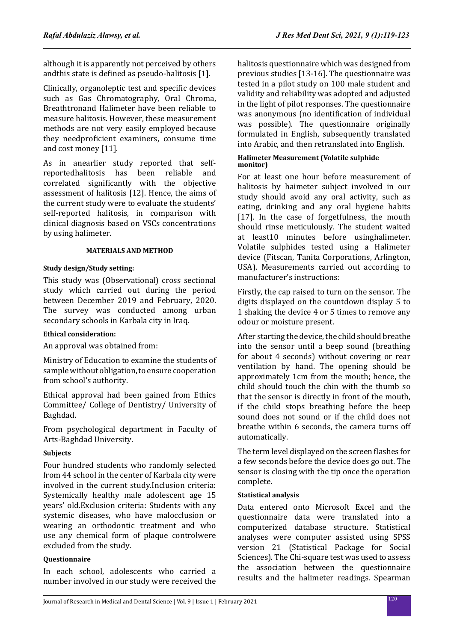although it is apparently not perceived by others andthis state is defined as pseudo-halitosis [1].

Clinically, organoleptic test and specific devices such as Gas Chromatography, Oral Chroma, Breathtronand Halimeter have been reliable to measure halitosis. However, these measurement methods are not very easily employed because they needproficient examiners, consume time and cost money [11].

As in anearlier study reported that self-<br>reported halitosis has been reliable and reportedhalitosis has been reliable correlated significantly with the objective assessment of halitosis [12]. Hence, the aims of the current study were to evaluate the students' self-reported halitosis, in comparison with clinical diagnosis based on VSCs concentrations by using halimeter.

## **MATERIALS AND METHOD**

## **Study design/Study setting:**

This study was (Observational) cross sectional study which carried out during the period between December 2019 and February, 2020. The survey was conducted among urban secondary schools in Karbala city in Iraq.

# **Ethical consideration:**

An approval was obtained from:

Ministry of Education to examine the students of sample without obligation, to ensure cooperation from school's authority.

Ethical approval had been gained from Ethics Committee/ College of Dentistry/ University of Baghdad.

From psychological department in Faculty of Arts-Baghdad University.

# **Subjects**

Four hundred students who randomly selected from 44 school in the center of Karbala city were involved in the current study.Inclusion criteria: Systemically healthy male adolescent age 15 years' old.Exclusion criteria: Students with any systemic diseases, who have malocclusion or wearing an orthodontic treatment and who use any chemical form of plaque controlwere excluded from the study.

# **Questionnaire**

In each school, adolescents who carried a number involved in our study were received the halitosis questionnaire which was designed from previous studies [13-16]. The questionnaire was tested in a pilot study on 100 male student and validity and reliability was adopted and adjusted in the light of pilot responses. The questionnaire was anonymous (no identification of individual was possible). The questionnaire originally formulated in English, subsequently translated into Arabic, and then retranslated into English.

## **Halimeter Measurement (Volatile sulphide monitor)**

For at least one hour before measurement of halitosis by haimeter subject involved in our study should avoid any oral activity, such as eating, drinking and any oral hygiene habits [17]. In the case of forgetfulness, the mouth should rinse meticulously. The student waited at least10 minutes before usinghalimeter. Volatile sulphides tested using a Halimeter device (Fitscan, Tanita Corporations, Arlington, USA). Measurements carried out according to manufacturer's instructions:

Firstly, the cap raised to turn on the sensor. The digits displayed on the countdown display 5 to 1 shaking the device 4 or 5 times to remove any odour or moisture present.

After starting the device, the child should breathe into the sensor until a beep sound (breathing for about 4 seconds) without covering or rear ventilation by hand. The opening should be approximately 1cm from the mouth; hence, the child should touch the chin with the thumb so that the sensor is directly in front of the mouth, if the child stops breathing before the beep sound does not sound or if the child does not breathe within 6 seconds, the camera turns off automatically.

The term level displayed on the screen flashes for a few seconds before the device does go out. The sensor is closing with the tip once the operation complete.

# **Statistical analysis**

Data entered onto Microsoft Excel and the questionnaire data were translated into a computerized database structure. Statistical analyses were computer assisted using SPSS version 21 (Statistical Package for Social Sciences). The Chi-square test was used to assess the association between the questionnaire results and the halimeter readings. Spearman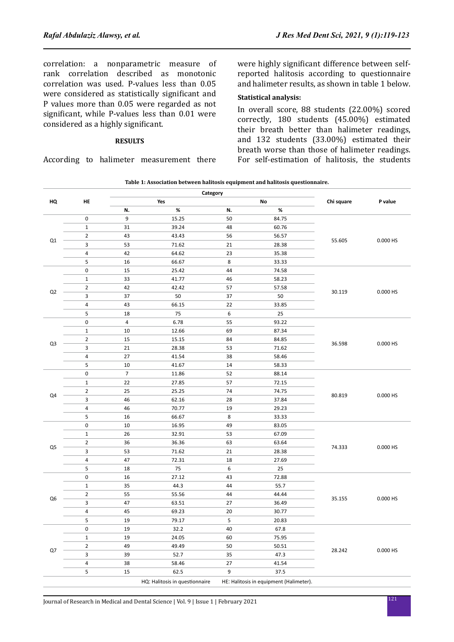correlation: a nonparametric measure of rank correlation described as monotonic correlation was used. P-values less than 0.05 were considered as statistically significant and P values more than 0.05 were regarded as not significant, while P-values less than 0.01 were considered as a highly significant.

#### **RESULTS**

According to halimeter measurement there

were highly significant difference between selfreported halitosis according to questionnaire and halimeter results, as shown in table 1 below.

## **Statistical analysis:**

In overall score, 88 students (22.00%) scored correctly, 180 students (45.00%) estimated their breath better than halimeter readings, and 132 students (33.00%) estimated their breath worse than those of halimeter readings. For self-estimation of halitosis, the students

| Table 1: Association between halitosis equipment and halitosis questionnaire. |  |
|-------------------------------------------------------------------------------|--|
|                                                                               |  |

|                |                | Category       |                                |    |                                         |            |          |
|----------------|----------------|----------------|--------------------------------|----|-----------------------------------------|------------|----------|
| HQ             | HE             | Yes<br>No      |                                |    |                                         | Chi square | P value  |
|                |                | N.             | $\%$                           | N. | $\%$                                    |            |          |
|                | $\mathbf 0$    | 9              | 15.25                          | 50 | 84.75                                   |            | 0.000 HS |
|                | $\mathbf{1}$   | 31             | 39.24                          | 48 | 60.76                                   | 55.605     |          |
| Q1             | $\overline{2}$ | 43             | 43.43                          | 56 | 56.57                                   |            |          |
|                | 3              | 53             | 71.62                          | 21 | 28.38                                   |            |          |
|                | $\pmb{4}$      | 42             | 64.62                          | 23 | 35.38                                   |            |          |
|                | 5              | 16             | 66.67                          | 8  | 33.33                                   |            |          |
|                | $\pmb{0}$      | 15             | 25.42                          | 44 | 74.58                                   | 30.119     | 0.000 HS |
|                | $\mathbf{1}$   | 33             | 41.77                          | 46 | 58.23                                   |            |          |
| Q <sub>2</sub> | $\overline{2}$ | 42             | 42.42                          | 57 | 57.58                                   |            |          |
|                | 3              | 37             | 50                             | 37 | 50                                      |            |          |
|                | 4              | 43             | 66.15                          | 22 | 33.85                                   |            |          |
|                | 5              | 18             | 75                             | 6  | 25                                      |            |          |
|                | $\pmb{0}$      | $\overline{a}$ | 6.78                           | 55 | 93.22                                   | 36.598     | 0.000 HS |
|                | $\mathbf{1}$   | 10             | 12.66                          | 69 | 87.34                                   |            |          |
|                | $\overline{2}$ | 15             | 15.15                          | 84 | 84.85                                   |            |          |
| Q3             | 3              | 21             | 28.38                          | 53 | 71.62                                   |            |          |
|                | $\overline{4}$ | 27             | 41.54                          | 38 | 58.46                                   |            |          |
|                | 5              | 10             | 41.67                          | 14 | 58.33                                   |            |          |
|                | $\pmb{0}$      | $\overline{7}$ | 11.86                          | 52 | 88.14                                   | 80.819     | 0.000 HS |
|                | $\mathbf 1$    | 22             | 27.85                          | 57 | 72.15                                   |            |          |
|                | $\overline{2}$ | 25             | 25.25                          | 74 | 74.75                                   |            |          |
| Q4             | 3              | 46             | 62.16                          | 28 | 37.84                                   |            |          |
|                | 4              | 46             | 70.77                          | 19 | 29.23                                   |            |          |
|                | 5              | 16             | 66.67                          | 8  | 33.33                                   |            |          |
|                | $\pmb{0}$      | $10\,$         | 16.95                          | 49 | 83.05                                   | 74.333     | 0.000 HS |
|                | 1              | 26             | 32.91                          | 53 | 67.09                                   |            |          |
|                | $\overline{2}$ | 36             | 36.36                          | 63 | 63.64                                   |            |          |
| Q <sub>5</sub> | 3              | 53             | 71.62                          | 21 | 28.38                                   |            |          |
|                | $\overline{4}$ | 47             | 72.31                          | 18 | 27.69                                   |            |          |
|                | 5              | 18             | 75                             | 6  | 25                                      |            |          |
|                | $\pmb{0}$      | 16             | 27.12                          | 43 | 72.88                                   | 35.155     | 0.000 HS |
| Q <sub>6</sub> | $\mathbf 1$    | 35             | 44.3                           | 44 | 55.7                                    |            |          |
|                | $\overline{2}$ | 55             | 55.56                          | 44 | 44.44                                   |            |          |
|                | 3              | 47             | 63.51                          | 27 | 36.49                                   |            |          |
|                | $\overline{4}$ | 45             | 69.23                          | 20 | 30.77                                   |            |          |
|                | 5              | 19             | 79.17                          | 5  | 20.83                                   |            |          |
|                | $\pmb{0}$      | 19             | 32.2                           | 40 | 67.8                                    |            |          |
|                | $\mathbf{1}$   | 19             | 24.05                          | 60 | 75.95                                   | 28.242     | 0.000 HS |
|                | 2              | 49             | 49.49                          | 50 | 50.51                                   |            |          |
| Q7             | 3              | 39             | 52.7                           | 35 | 47.3                                    |            |          |
|                | $\overline{4}$ | 38             | 58.46                          | 27 | 41.54                                   |            |          |
|                | 5              | 15             | 62.5                           | 9  | 37.5                                    |            |          |
|                |                |                | HQ: Halitosis in questionnaire |    | HE: Halitosis in equipment (Halimeter). |            |          |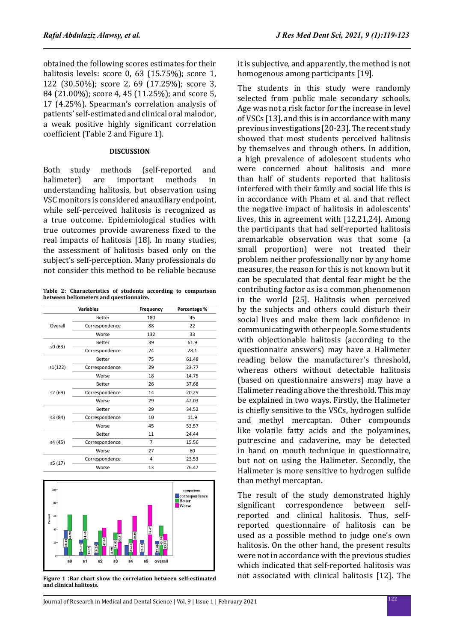obtained the following scores estimates for their halitosis levels: score 0, 63 (15.75%); score 1, 122 (30.50%); score 2, 69 (17.25%); score 3, 84 (21.00%); score 4, 45 (11.25%); and score 5, 17 (4.25%). Spearman's correlation analysis of patients' self-estimated and clinical oral malodor, a weak positive highly significant correlation coefficient (Table 2 and Figure 1).

## **DISCUSSION**

Both study methods (self-reported and<br>halimeter) are important methods in important methods understanding halitosis, but observation using VSC monitors is considered anauxiliary endpoint, while self-perceived halitosis is recognized as a true outcome. Epidemiological studies with true outcomes provide awareness fixed to the real impacts of halitosis [18]. In many studies, the assessment of halitosis based only on the subject's self-perception. Many professionals do not consider this method to be reliable because

**Table 2׃ Characteristics of students according to comparison between heliometers and questionnaire.**

|         | <b>Variables</b> | Frequency | Percentage % |
|---------|------------------|-----------|--------------|
|         | Better           | 180       | 45           |
| Overall | Correspondence   | 88        | 22           |
|         | Worse            | 132       | 33           |
|         | Better           | 39        | 61.9         |
| s0 (63) | Correspondence   | 24        | 28.1         |
|         | Better           | 75        | 61.48        |
| s1(122) | Correspondence   | 29        | 23.77        |
|         | Worse            | 18        | 14.75        |
|         | Better           | 26        | 37.68        |
| s2 (69) | Correspondence   | 14        | 20.29        |
|         | Worse            | 29        | 42.03        |
|         | Better           | 29        | 34.52        |
| s3 (84) | Correspondence   | 10        | 11.9         |
|         | Worse            | 45        | 53.57        |
|         | Better           | 11        | 24.44        |
| s4 (45) | Correspondence   | 7         | 15.56        |
|         | Worse            | 27        | 60           |
|         | Correspondence   | 4         | 23.53        |
| s5 (17) | Worse            | 13        | 76.47        |
|         |                  |           |              |



**Figure 1 ׃Bar chart show the correlation between self-estimated and clinical halitosis.**

it is subjective, and apparently, the method is not homogenous among participants [19].

The students in this study were randomly selected from public male secondary schools. Age was not a risk factor for the increase in level of VSCs [13]. and this is in accordance with many previous investigations [20-23]. The recent study showed that most students perceived halitosis by themselves and through others. In addition, a high prevalence of adolescent students who were concerned about halitosis and more than half of students reported that halitosis interfered with their family and social life this is in accordance with Pham et al. and that reflect the negative impact of halitosis in adolescents' lives, this in agreement with [12,21,24]. Among the participants that had self-reported halitosis aremarkable observation was that some (a small proportion) were not treated their problem neither professionally nor by any home measures, the reason for this is not known but it can be speculated that dental fear might be the contributing factor as is a common phenomenon in the world [25]. Halitosis when perceived by the subjects and others could disturb their social lives and make them lack confidence in communicating with other people. Some students with objectionable halitosis (according to the questionnaire answers) may have a Halimeter reading below the manufacturer's threshold, whereas others without detectable halitosis (based on questionnaire answers) may have a Halimeter reading above the threshold. This may be explained in two ways. Firstly, the Halimeter is chiefly sensitive to the VSCs, hydrogen sulfide and methyl mercaptan. Other compounds like volatile fatty acids and the polyamines, putrescine and cadaverine, may be detected in hand on mouth technique in questionnaire, but not on using the Halimeter. Secondly, the Halimeter is more sensitive to hydrogen sulfide than methyl mercaptan.

The result of the study demonstrated highly significant correspondence between selfreported and clinical halitosis. Thus, selfreported questionnaire of halitosis can be used as a possible method to judge one's own halitosis. On the other hand, the present results were not in accordance with the previous studies which indicated that self-reported halitosis was not associated with clinical halitosis [12]. The